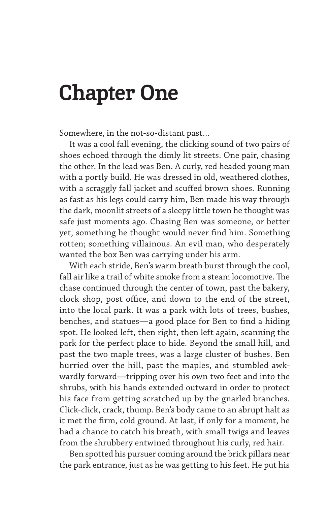## **Chapter One**

Somewhere, in the not-so-distant past…

It was a cool fall evening, the clicking sound of two pairs of shoes echoed through the dimly lit streets. One pair, chasing the other. In the lead was Ben. A curly, red headed young man with a portly build. He was dressed in old, weathered clothes, with a scraggly fall jacket and scuffed brown shoes. Running as fast as his legs could carry him, Ben made his way through the dark, moonlit streets of a sleepy little town he thought was safe just moments ago. Chasing Ben was someone, or better yet, something he thought would never find him. Something rotten; something villainous. An evil man, who desperately wanted the box Ben was carrying under his arm.

With each stride, Ben's warm breath burst through the cool, fall air like a trail of white smoke from a steam locomotive. The chase continued through the center of town, past the bakery, clock shop, post office, and down to the end of the street, into the local park. It was a park with lots of trees, bushes, benches, and statues—a good place for Ben to find a hiding spot. He looked left, then right, then left again, scanning the park for the perfect place to hide. Beyond the small hill, and past the two maple trees, was a large cluster of bushes. Ben hurried over the hill, past the maples, and stumbled awkwardly forward—tripping over his own two feet and into the shrubs, with his hands extended outward in order to protect his face from getting scratched up by the gnarled branches. Click-click, crack, thump. Ben's body came to an abrupt halt as it met the firm, cold ground. At last, if only for a moment, he had a chance to catch his breath, with small twigs and leaves from the shrubbery entwined throughout his curly, red hair.

Ben spotted his pursuer coming around the brick pillars near the park entrance, just as he was getting to his feet. He put his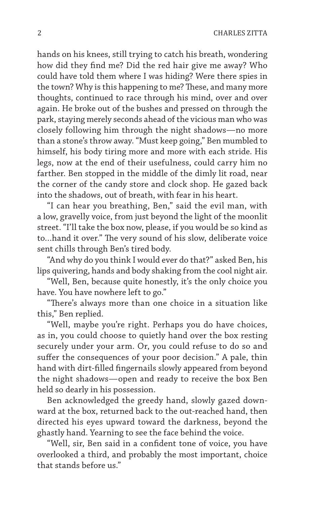hands on his knees, still trying to catch his breath, wondering how did they find me? Did the red hair give me away? Who could have told them where I was hiding? Were there spies in the town? Why is this happening to me? These, and many more thoughts, continued to race through his mind, over and over again. He broke out of the bushes and pressed on through the park, staying merely seconds ahead of the vicious man who was closely following him through the night shadows—no more than a stone's throw away. "Must keep going," Ben mumbled to himself, his body tiring more and more with each stride. His legs, now at the end of their usefulness, could carry him no farther. Ben stopped in the middle of the dimly lit road, near the corner of the candy store and clock shop. He gazed back into the shadows, out of breath, with fear in his heart.

"I can hear you breathing, Ben," said the evil man, with a low, gravelly voice, from just beyond the light of the moonlit street. "I'll take the box now, please, if you would be so kind as to…hand it over." The very sound of his slow, deliberate voice sent chills through Ben's tired body.

"And why do you think I would ever do that?" asked Ben, his lips quivering, hands and body shaking from the cool night air.

"Well, Ben, because quite honestly, it's the only choice you have. You have nowhere left to go."

"There's always more than one choice in a situation like this," Ben replied.

"Well, maybe you're right. Perhaps you do have choices, as in, you could choose to quietly hand over the box resting securely under your arm. Or, you could refuse to do so and suffer the consequences of your poor decision." A pale, thin hand with dirt-filled fingernails slowly appeared from beyond the night shadows—open and ready to receive the box Ben held so dearly in his possession.

Ben acknowledged the greedy hand, slowly gazed downward at the box, returned back to the out-reached hand, then directed his eyes upward toward the darkness, beyond the ghastly hand. Yearning to see the face behind the voice.

"Well, sir, Ben said in a confident tone of voice, you have overlooked a third, and probably the most important, choice that stands before us."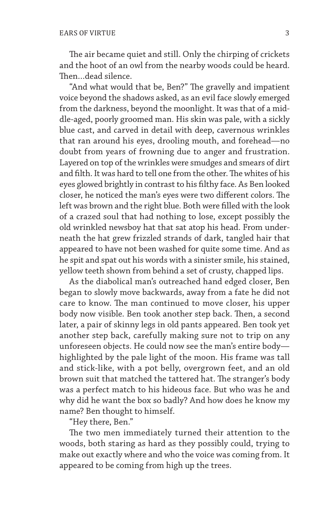The air became quiet and still. Only the chirping of crickets and the hoot of an owl from the nearby woods could be heard. Then…dead silence.

"And what would that be, Ben?" The gravelly and impatient voice beyond the shadows asked, as an evil face slowly emerged from the darkness, beyond the moonlight. It was that of a middle-aged, poorly groomed man. His skin was pale, with a sickly blue cast, and carved in detail with deep, cavernous wrinkles that ran around his eyes, drooling mouth, and forehead—no doubt from years of frowning due to anger and frustration. Layered on top of the wrinkles were smudges and smears of dirt and filth. It was hard to tell one from the other. The whites of his eyes glowed brightly in contrast to his filthy face. As Ben looked closer, he noticed the man's eyes were two different colors. The left was brown and the right blue. Both were filled with the look of a crazed soul that had nothing to lose, except possibly the old wrinkled newsboy hat that sat atop his head. From underneath the hat grew frizzled strands of dark, tangled hair that appeared to have not been washed for quite some time. And as he spit and spat out his words with a sinister smile, his stained, yellow teeth shown from behind a set of crusty, chapped lips.

As the diabolical man's outreached hand edged closer, Ben began to slowly move backwards, away from a fate he did not care to know. The man continued to move closer, his upper body now visible. Ben took another step back. Then, a second later, a pair of skinny legs in old pants appeared. Ben took yet another step back, carefully making sure not to trip on any unforeseen objects. He could now see the man's entire body highlighted by the pale light of the moon. His frame was tall and stick-like, with a pot belly, overgrown feet, and an old brown suit that matched the tattered hat. The stranger's body was a perfect match to his hideous face. But who was he and why did he want the box so badly? And how does he know my name? Ben thought to himself.

"Hey there, Ben."

The two men immediately turned their attention to the woods, both staring as hard as they possibly could, trying to make out exactly where and who the voice was coming from. It appeared to be coming from high up the trees.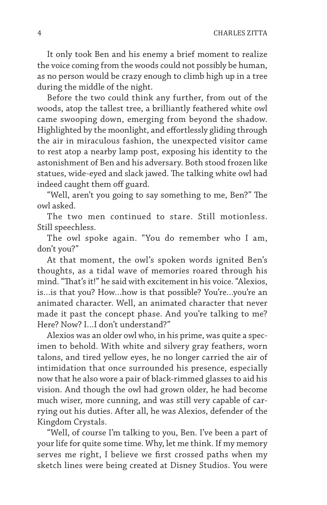It only took Ben and his enemy a brief moment to realize the voice coming from the woods could not possibly be human, as no person would be crazy enough to climb high up in a tree during the middle of the night.

Before the two could think any further, from out of the woods, atop the tallest tree, a brilliantly feathered white owl came swooping down, emerging from beyond the shadow. Highlighted by the moonlight, and effortlessly gliding through the air in miraculous fashion, the unexpected visitor came to rest atop a nearby lamp post, exposing his identity to the astonishment of Ben and his adversary. Both stood frozen like statues, wide-eyed and slack jawed. The talking white owl had indeed caught them off guard.

"Well, aren't you going to say something to me, Ben?" The owl asked.

The two men continued to stare. Still motionless. Still speechless.

The owl spoke again. "You do remember who I am, don't you?"

At that moment, the owl's spoken words ignited Ben's thoughts, as a tidal wave of memories roared through his mind. "That's it!" he said with excitement in his voice. "Alexios, is…is that you? How…how is that possible? You're…you're an animated character. Well, an animated character that never made it past the concept phase. And you're talking to me? Here? Now? I…I don't understand?"

Alexios was an older owl who, in his prime, was quite a specimen to behold. With white and silvery gray feathers, worn talons, and tired yellow eyes, he no longer carried the air of intimidation that once surrounded his presence, especially now that he also wore a pair of black-rimmed glasses to aid his vision. And though the owl had grown older, he had become much wiser, more cunning, and was still very capable of carrying out his duties. After all, he was Alexios, defender of the Kingdom Crystals.

"Well, of course I'm talking to you, Ben. I've been a part of your life for quite some time. Why, let me think. If my memory serves me right, I believe we first crossed paths when my sketch lines were being created at Disney Studios. You were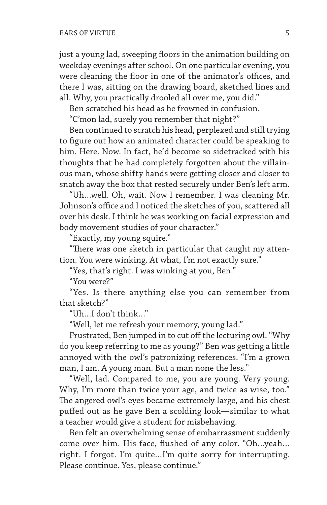just a young lad, sweeping floors in the animation building on weekday evenings after school. On one particular evening, you were cleaning the floor in one of the animator's offices, and there I was, sitting on the drawing board, sketched lines and all. Why, you practically drooled all over me, you did."

Ben scratched his head as he frowned in confusion.

"C'mon lad, surely you remember that night?"

Ben continued to scratch his head, perplexed and still trying to figure out how an animated character could be speaking to him. Here. Now. In fact, he'd become so sidetracked with his thoughts that he had completely forgotten about the villainous man, whose shifty hands were getting closer and closer to snatch away the box that rested securely under Ben's left arm.

"Uh…well. Oh, wait. Now I remember. I was cleaning Mr. Johnson's office and I noticed the sketches of you, scattered all over his desk. I think he was working on facial expression and body movement studies of your character."

"Exactly, my young squire."

"There was one sketch in particular that caught my attention. You were winking. At what, I'm not exactly sure."

"Yes, that's right. I was winking at you, Ben."

"You were?"

"Yes. Is there anything else you can remember from that sketch?"

"Uh…I don't think…"

"Well, let me refresh your memory, young lad."

Frustrated, Ben jumped in to cut off the lecturing owl. "Why do you keep referring to me as young?" Ben was getting a little annoyed with the owl's patronizing references. "I'm a grown man, I am. A young man. But a man none the less."

"Well, lad. Compared to me, you are young. Very young. Why, I'm more than twice your age, and twice as wise, too." The angered owl's eyes became extremely large, and his chest puffed out as he gave Ben a scolding look—similar to what a teacher would give a student for misbehaving.

Ben felt an overwhelming sense of embarrassment suddenly come over him. His face, flushed of any color. "Oh…yeah… right. I forgot. I'm quite…I'm quite sorry for interrupting. Please continue. Yes, please continue."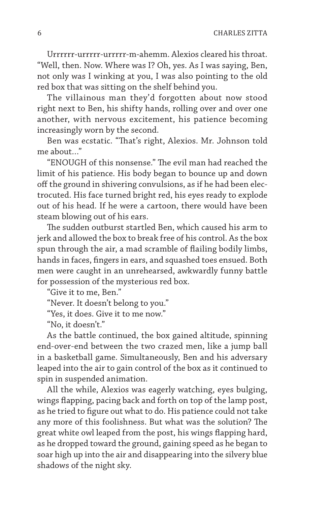Urrrrrr-urrrrr-urrrrr-m-ahemm. Alexios cleared his throat. "Well, then. Now. Where was I? Oh, yes. As I was saying, Ben, not only was I winking at you, I was also pointing to the old red box that was sitting on the shelf behind you.

The villainous man they'd forgotten about now stood right next to Ben, his shifty hands, rolling over and over one another, with nervous excitement, his patience becoming increasingly worn by the second.

Ben was ecstatic. "That's right, Alexios. Mr. Johnson told me about…"

"ENOUGH of this nonsense." The evil man had reached the limit of his patience. His body began to bounce up and down off the ground in shivering convulsions, as if he had been electrocuted. His face turned bright red, his eyes ready to explode out of his head. If he were a cartoon, there would have been steam blowing out of his ears.

The sudden outburst startled Ben, which caused his arm to jerk and allowed the box to break free of his control. As the box spun through the air, a mad scramble of flailing bodily limbs, hands in faces, fingers in ears, and squashed toes ensued. Both men were caught in an unrehearsed, awkwardly funny battle for possession of the mysterious red box.

"Give it to me, Ben."

"Never. It doesn't belong to you."

"Yes, it does. Give it to me now."

"No, it doesn't."

As the battle continued, the box gained altitude, spinning end-over-end between the two crazed men, like a jump ball in a basketball game. Simultaneously, Ben and his adversary leaped into the air to gain control of the box as it continued to spin in suspended animation.

All the while, Alexios was eagerly watching, eyes bulging, wings flapping, pacing back and forth on top of the lamp post, as he tried to figure out what to do. His patience could not take any more of this foolishness. But what was the solution? The great white owl leaped from the post, his wings flapping hard, as he dropped toward the ground, gaining speed as he began to soar high up into the air and disappearing into the silvery blue shadows of the night sky.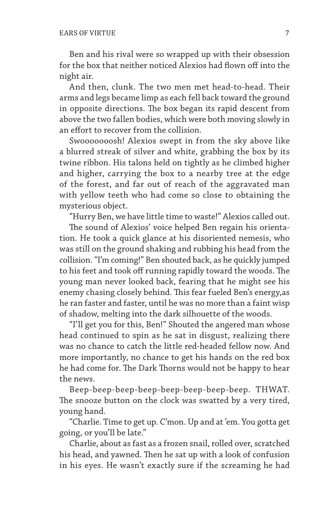Ben and his rival were so wrapped up with their obsession for the box that neither noticed Alexios had flown off into the night air.

And then, clunk. The two men met head-to-head. Their arms and legs became limp as each fell back toward the ground in opposite directions. The box began its rapid descent from above the two fallen bodies, which were both moving slowly in an effort to recover from the collision.

Swooooooosh! Alexios swept in from the sky above like a blurred streak of silver and white, grabbing the box by its twine ribbon. His talons held on tightly as he climbed higher and higher, carrying the box to a nearby tree at the edge of the forest, and far out of reach of the aggravated man with yellow teeth who had come so close to obtaining the mysterious object.

"Hurry Ben, we have little time to waste!" Alexios called out. The sound of Alexios' voice helped Ben regain his orientation. He took a quick glance at his disoriented nemesis, who was still on the ground shaking and rubbing his head from the collision. "I'm coming!" Ben shouted back, as he quickly jumped to his feet and took off running rapidly toward the woods. The young man never looked back, fearing that he might see his enemy chasing closely behind. This fear fueled Ben's energy,as he ran faster and faster, until he was no more than a faint wisp of shadow, melting into the dark silhouette of the woods.

"I'll get you for this, Ben!" Shouted the angered man whose head continued to spin as he sat in disgust, realizing there was no chance to catch the little red-headed fellow now. And more importantly, no chance to get his hands on the red box he had come for. The Dark Thorns would not be happy to hear the news.

Beep-beep-beep-beep-beep-beep-beep-beep. THWAT. The snooze button on the clock was swatted by a very tired, young hand.

"Charlie. Time to get up. C'mon. Up and at 'em. You gotta get going, or you'll be late."

Charlie, about as fast as a frozen snail, rolled over, scratched his head, and yawned. Then he sat up with a look of confusion in his eyes. He wasn't exactly sure if the screaming he had